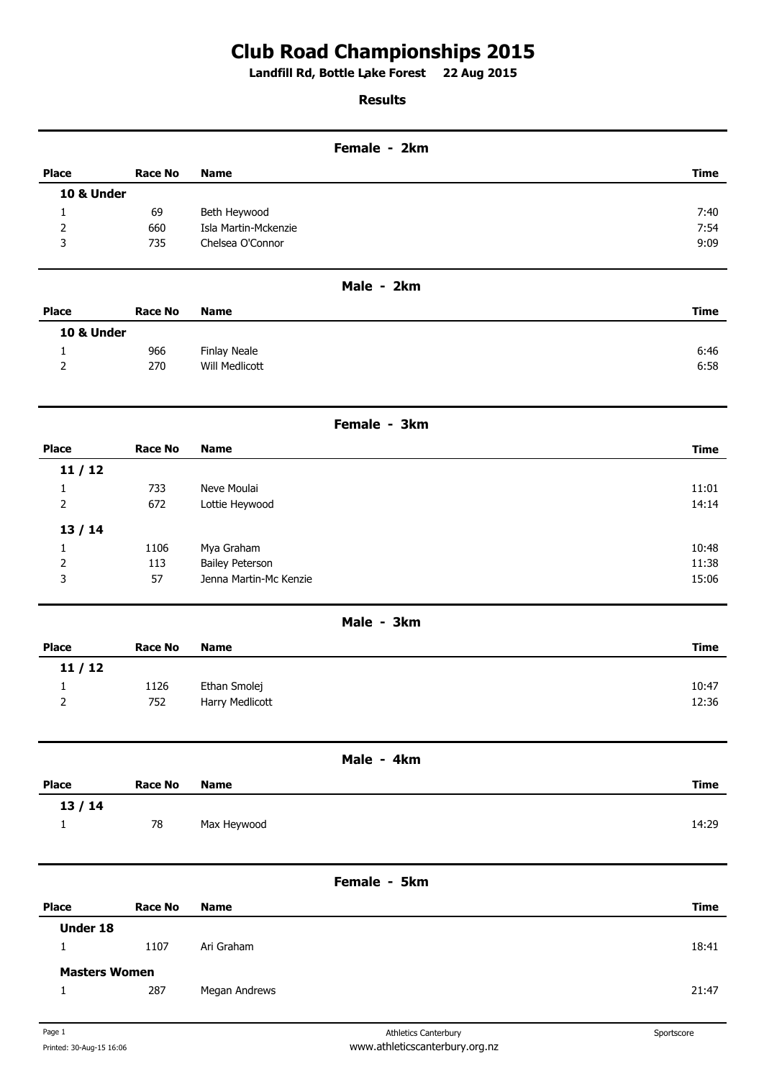## **Club Road Championships 2015**

**Landfill Rd, Bottle Lake Forest 22 Aug 2015 .** 

## **Results**

|                       |                |                        | Female - 2km |             |  |
|-----------------------|----------------|------------------------|--------------|-------------|--|
| <b>Place</b>          | <b>Race No</b> | <b>Name</b>            |              | <b>Time</b> |  |
| <b>10 &amp; Under</b> |                |                        |              |             |  |
| 1                     | 69             | Beth Heywood           |              | 7:40        |  |
| 2                     | 660            | Isla Martin-Mckenzie   |              | 7:54        |  |
| 3                     | 735            | Chelsea O'Connor       |              | 9:09        |  |
|                       |                |                        | Male - 2km   |             |  |
| <b>Place</b>          | <b>Race No</b> | <b>Name</b>            |              | <b>Time</b> |  |
| <b>10 &amp; Under</b> |                |                        |              |             |  |
| $\mathbf{1}$          | 966            | <b>Finlay Neale</b>    |              | 6:46        |  |
| 2                     | 270            | <b>Will Medlicott</b>  |              | 6:58        |  |
|                       |                |                        | Female - 3km |             |  |
| <b>Place</b>          | <b>Race No</b> | <b>Name</b>            |              | <b>Time</b> |  |
| 11/12                 |                |                        |              |             |  |
| $\mathbf{1}$          | 733            | Neve Moulai            |              | 11:01       |  |
| $\mathbf 2$           | 672            | Lottie Heywood         |              | 14:14       |  |
| 13/14                 |                |                        |              |             |  |
| 1                     | 1106           | Mya Graham             |              | 10:48       |  |
| 2                     | 113            | <b>Bailey Peterson</b> |              | 11:38       |  |
| 3                     | 57             | Jenna Martin-Mc Kenzie |              | 15:06       |  |
|                       |                |                        | Male - 3km   |             |  |
| <b>Place</b>          | <b>Race No</b> | <b>Name</b>            |              | <b>Time</b> |  |
| 11/12                 |                |                        |              |             |  |
| 1                     | 1126           | Ethan Smolej           |              | 10:47       |  |
| $\overline{2}$        | 752            | Harry Medlicott        |              | 12:36       |  |
|                       |                |                        | Male - 4km   |             |  |
| <b>Place</b>          | <b>Race No</b> | <b>Name</b>            |              | <b>Time</b> |  |
| 13/14                 |                |                        |              |             |  |
| $\mathbf{1}$          | 78             | Max Heywood            |              | 14:29       |  |
|                       |                |                        |              |             |  |
|                       |                |                        | Female - 5km |             |  |
| <b>Place</b>          | <b>Race No</b> | <b>Name</b>            |              | <b>Time</b> |  |
| Under 18              |                |                        |              |             |  |
| $\mathbf{1}$          | 1107           | Ari Graham             |              | 18:41       |  |
| <b>Masters Women</b>  |                |                        |              |             |  |
| $\mathbf{1}$          | 287            | Megan Andrews          |              | 21:47       |  |
|                       |                |                        |              |             |  |